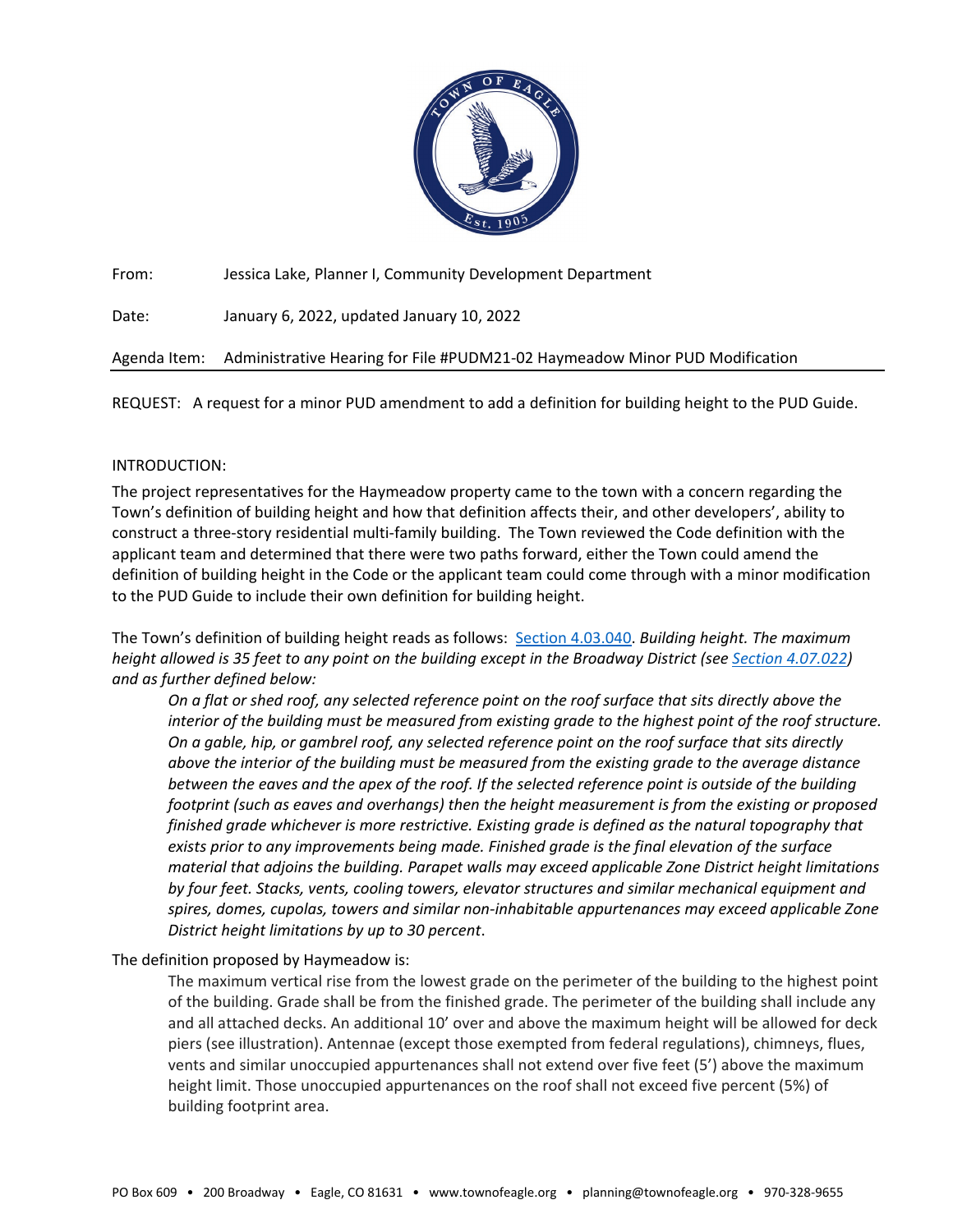

From: Jessica Lake, Planner I, Community Development Department

Date: January 6, 2022, updated January 10, 2022

Agenda Item: Administrative Hearing for File #PUDM21-02 Haymeadow Minor PUD Modification

REQUEST: A request for a minor PUD amendment to add a definition for building height to the PUD Guide.

# INTRODUCTION:

The project representatives for the Haymeadow property came to the town with a concern regarding the Town's definition of building height and how that definition affects their, and other developers', ability to construct a three-story residential multi-family building. The Town reviewed the Code definition with the applicant team and determined that there were two paths forward, either the Town could amend the definition of building height in the Code or the applicant team could come through with a minor modification to the PUD Guide to include their own definition for building height.

The Town's definition of building height reads as follows: [Section 4.03.040.](https://library.municode.com/co/eagle/codes/code_of_ordinances?nodeId=COOR_TIT4LAUSDECO_CH4.03GE_S4.03.040DE) *Building height. The maximum height allowed is 35 feet to any point on the building except in the Broadway District (see [Section 4.07.022\)](https://library.municode.com/co/eagle/codes/code_of_ordinances?nodeId=COOR_TIT4LAUSDECO_CH4.07DEST_S4.07.060BRDI) and as further defined below:*

*On a flat or shed roof, any selected reference point on the roof surface that sits directly above the interior of the building must be measured from existing grade to the highest point of the roof structure. On a gable, hip, or gambrel roof, any selected reference point on the roof surface that sits directly above the interior of the building must be measured from the existing grade to the average distance between the eaves and the apex of the roof. If the selected reference point is outside of the building footprint (such as eaves and overhangs) then the height measurement is from the existing or proposed finished grade whichever is more restrictive. Existing grade is defined as the natural topography that exists prior to any improvements being made. Finished grade is the final elevation of the surface material that adjoins the building. Parapet walls may exceed applicable Zone District height limitations by four feet. Stacks, vents, cooling towers, elevator structures and similar mechanical equipment and spires, domes, cupolas, towers and similar non-inhabitable appurtenances may exceed applicable Zone District height limitations by up to 30 percent*.

# The definition proposed by Haymeadow is:

The maximum vertical rise from the lowest grade on the perimeter of the building to the highest point of the building. Grade shall be from the finished grade. The perimeter of the building shall include any and all attached decks. An additional 10' over and above the maximum height will be allowed for deck piers (see illustration). Antennae (except those exempted from federal regulations), chimneys, flues, vents and similar unoccupied appurtenances shall not extend over five feet (5') above the maximum height limit. Those unoccupied appurtenances on the roof shall not exceed five percent (5%) of building footprint area.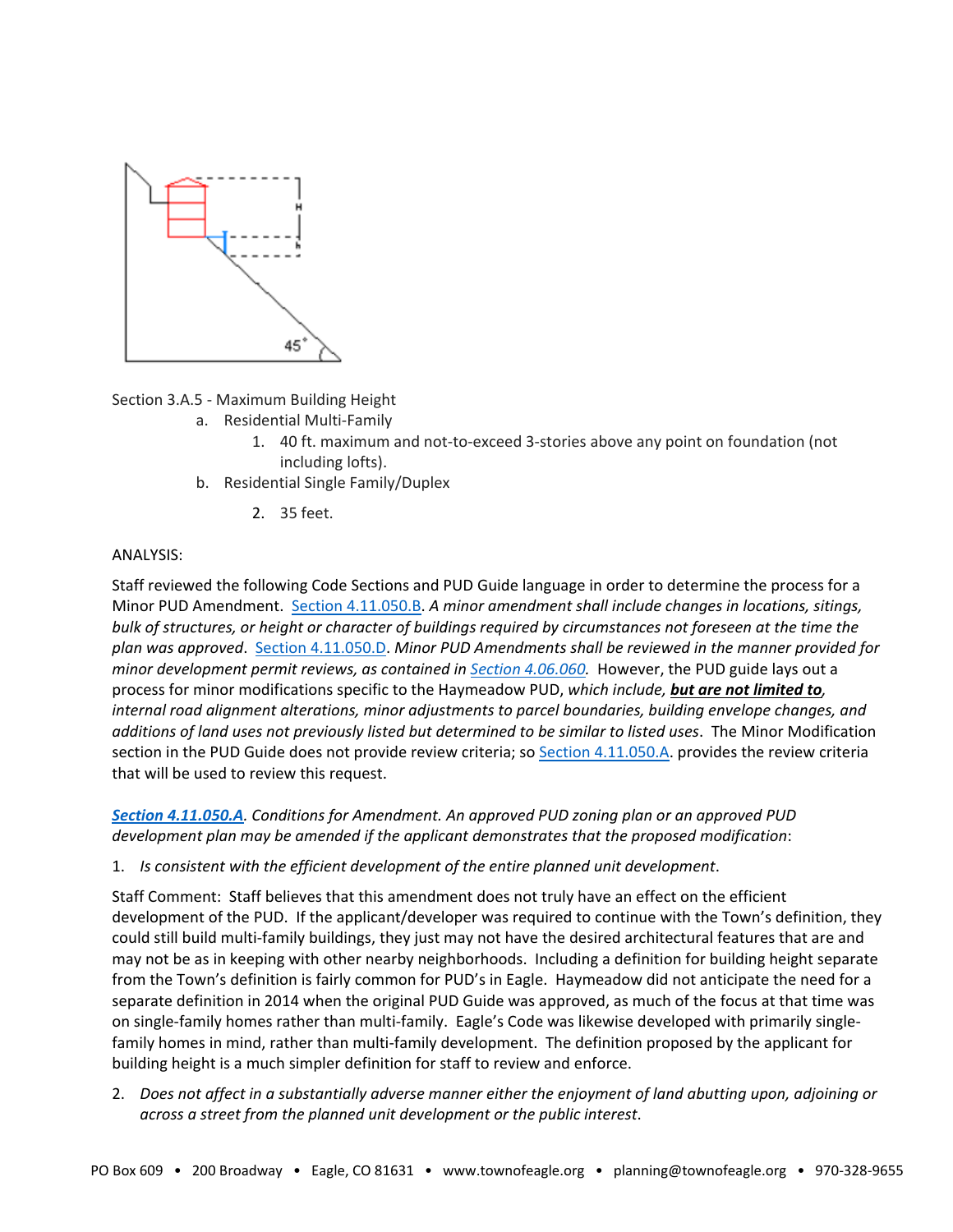

Section 3.A.5 - Maximum Building Height

- a. Residential Multi-Family
	- 1. 40 ft. maximum and not-to-exceed 3-stories above any point on foundation (not including lofts).
- b. Residential Single Family/Duplex
	- 2. 35 feet.

## ANALYSIS:

Staff reviewed the following Code Sections and PUD Guide language in order to determine the process for a Minor PUD Amendment. [Section 4.11.050.B.](https://library.municode.com/co/eagle/codes/code_of_ordinances?nodeId=COOR_TIT4LAUSDECO_CH4.11PLUNDE_S4.11.050AMPLUNDEZODEPL) *A minor amendment shall include changes in locations, sitings, bulk of structures, or height or character of buildings required by circumstances not foreseen at the time the plan was approved*. [Section 4.11.050.D.](https://library.municode.com/co/eagle/codes/code_of_ordinances?nodeId=COOR_TIT4LAUSDECO_CH4.11PLUNDE_S4.11.050AMPLUNDEZODEPL) *Minor PUD Amendments shall be reviewed in the manner provided for minor development permit reviews, as contained in [Section 4.06.060.](https://library.municode.com/co/eagle/codes/code_of_ordinances?nodeId=COOR_TIT4LAUSDECO_CH4.06DERE_S4.06.060MIDERE)* However, the PUD guide lays out a process for minor modifications specific to the Haymeadow PUD, *which include, but are not limited to, internal road alignment alterations, minor adjustments to parcel boundaries, building envelope changes, and additions of land uses not previously listed but determined to be similar to listed uses*. The Minor Modification section in the PUD Guide does not provide review criteria; s[o Section 4.11.050.A.](https://library.municode.com/co/eagle/codes/code_of_ordinances?nodeId=COOR_TIT4LAUSDECO_CH4.11PLUNDE_S4.11.050AMPLUNDEZODEPL) provides the review criteria that will be used to review this request.

*[Section 4.11.050.A](https://library.municode.com/co/eagle/codes/code_of_ordinances?nodeId=COOR_TIT4LAUSDECO_CH4.11PLUNDE_S4.11.050AMPLUNDEZODEPL). Conditions for Amendment. An approved PUD zoning plan or an approved PUD development plan may be amended if the applicant demonstrates that the proposed modification*:

1. *Is consistent with the efficient development of the entire planned unit development*.

Staff Comment: Staff believes that this amendment does not truly have an effect on the efficient development of the PUD. If the applicant/developer was required to continue with the Town's definition, they could still build multi-family buildings, they just may not have the desired architectural features that are and may not be as in keeping with other nearby neighborhoods. Including a definition for building height separate from the Town's definition is fairly common for PUD's in Eagle. Haymeadow did not anticipate the need for a separate definition in 2014 when the original PUD Guide was approved, as much of the focus at that time was on single-family homes rather than multi-family. Eagle's Code was likewise developed with primarily singlefamily homes in mind, rather than multi-family development. The definition proposed by the applicant for building height is a much simpler definition for staff to review and enforce.

2. *Does not affect in a substantially adverse manner either the enjoyment of land abutting upon, adjoining or across a street from the planned unit development or the public interest*.